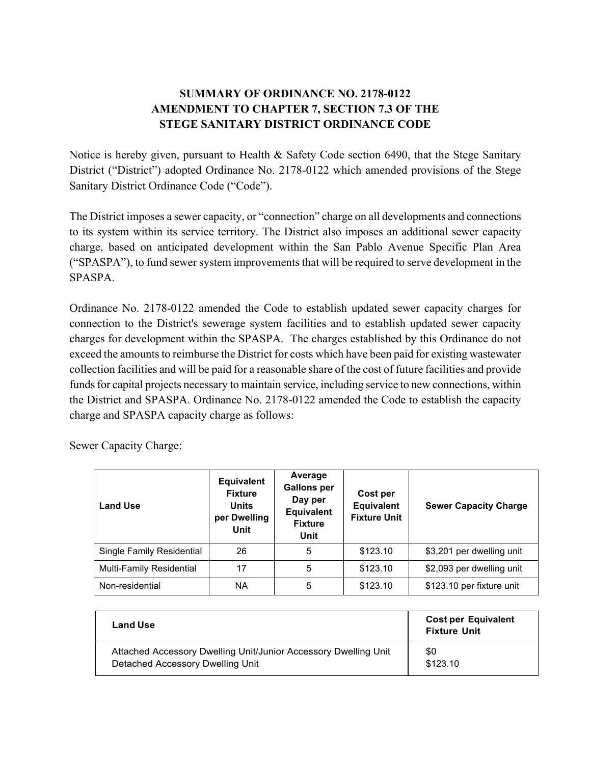## **SUMMARY OF ORDINANCE NO. 2178-0122 AMENDMENT TO CHAPTER 7, SECTION 7.3 OF THE STEGE SANITARY DISTRICT ORDINANCE CODE**

Notice is hereby given, pursuant to Health & Safety Code section 6490, that the Stege Sanitary District ("District") adopted Ordinance No. 2178-0122 which amended provisions of the Stege Sanitary District Ordinance Code ("Code").

The District imposes a sewer capacity, or "connection" charge on all developments and connections to its system within its service territory. The District also imposes an additional sewer capacity charge, based on anticipated development within the San Pablo Avenue Specific Plan Area ("SPASPA"), to fund sewer system improvements that will be required to serve development in the SPASPA.

Ordinance No. 2178-0122 amended the Code to establish updated sewer capacity charges for connection to the District's sewerage system facilities and to establish updated sewer capacity charges for development within the SPASPA. The charges established by this Ordinance do not exceed the amounts to reimburse the District for costs which have been paid for existing wastewater collection facilities and will be paid for a reasonable share of the cost of future facilities and provide funds for capital projects necessary to maintain service, including service to new connections, within the District and SPASPA. Ordinance No. 2178-0122 amended the Code to establish the capacity charge and SPASPA capacity charge as follows:

| <b>Land Use</b>           | <b>Equivalent</b><br><b>Fixture</b><br><b>Units</b><br>per Dwelling<br>Unit | Average<br><b>Gallons per</b><br>Day per<br><b>Equivalent</b><br><b>Fixture</b><br>Unit | Cost per<br><b>Equivalent</b><br><b>Fixture Unit</b> | <b>Sewer Capacity Charge</b> |
|---------------------------|-----------------------------------------------------------------------------|-----------------------------------------------------------------------------------------|------------------------------------------------------|------------------------------|
| Single Family Residential | 26                                                                          | 5                                                                                       | \$123.10                                             | \$3,201 per dwelling unit    |
| Multi-Family Residential  | 17                                                                          | 5                                                                                       | \$123.10                                             | \$2,093 per dwelling unit    |
| Non-residential           | <b>NA</b>                                                                   | 5                                                                                       | \$123.10                                             | \$123.10 per fixture unit    |

Sewer Capacity Charge:

| <b>Land Use</b>                                                 | <b>Cost per Equivalent</b><br><b>Fixture Unit</b> |
|-----------------------------------------------------------------|---------------------------------------------------|
| Attached Accessory Dwelling Unit/Junior Accessory Dwelling Unit | \$0                                               |
| Detached Accessory Dwelling Unit                                | \$123.10                                          |